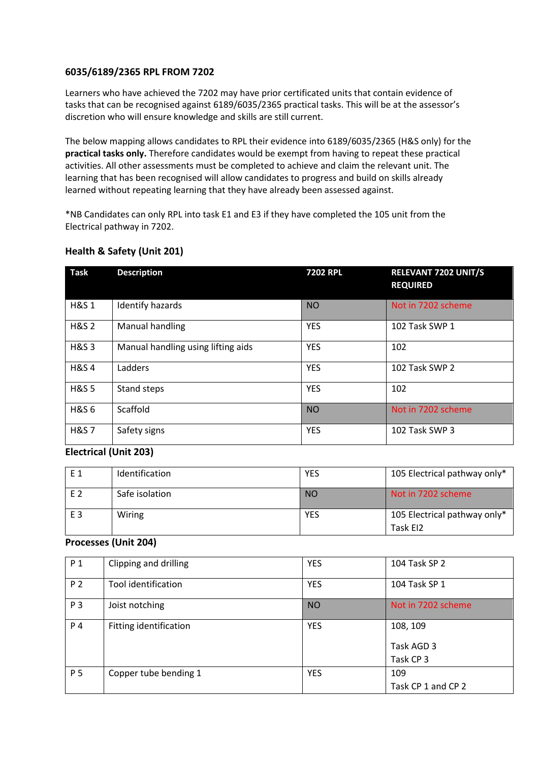#### **6035/6189/2365 RPL FROM 7202**

Learners who have achieved the 7202 may have prior certificated units that contain evidence of tasks that can be recognised against 6189/6035/2365 practical tasks. This will be at the assessor's discretion who will ensure knowledge and skills are still current.

The below mapping allows candidates to RPL their evidence into 6189/6035/2365 (H&S only) for the **practical tasks only.** Therefore candidates would be exempt from having to repeat these practical activities. All other assessments must be completed to achieve and claim the relevant unit. The learning that has been recognised will allow candidates to progress and build on skills already learned without repeating learning that they have already been assessed against.

\*NB Candidates can only RPL into task E1 and E3 if they have completed the 105 unit from the Electrical pathway in 7202.

| <b>Task</b>      | <b>Description</b>                 | <b>7202 RPL</b> | <b>RELEVANT 7202 UNIT/S</b><br><b>REQUIRED</b> |
|------------------|------------------------------------|-----------------|------------------------------------------------|
| <b>H&amp;S1</b>  | Identify hazards                   | <b>NO</b>       | Not in 7202 scheme                             |
| <b>H&amp;S 2</b> | Manual handling                    | <b>YES</b>      | 102 Task SWP 1                                 |
| <b>H&amp;S3</b>  | Manual handling using lifting aids | <b>YES</b>      | 102                                            |
| <b>H&amp;S4</b>  | Ladders                            | <b>YES</b>      | 102 Task SWP 2                                 |
| <b>H&amp;S5</b>  | Stand steps                        | <b>YES</b>      | 102                                            |
| <b>H&amp;S6</b>  | Scaffold                           | <b>NO</b>       | Not in 7202 scheme                             |
| <b>H&amp;S7</b>  | Safety signs                       | <b>YES</b>      | 102 Task SWP 3                                 |

### **Health & Safety (Unit 201)**

#### **Electrical (Unit 203)**

| F 1            | Identification | <b>YES</b> | 105 Electrical pathway only*             |
|----------------|----------------|------------|------------------------------------------|
| F 2            | Safe isolation | <b>NO</b>  | Not in 7202 scheme                       |
| E <sub>3</sub> | Wiring         | <b>YES</b> | 105 Electrical pathway only*<br>Task EI2 |

#### **Processes (Unit 204)**

| P 1 | Clipping and drilling  | <b>YES</b> | 104 Task SP 2      |
|-----|------------------------|------------|--------------------|
| P 2 | Tool identification    | <b>YES</b> | 104 Task SP 1      |
| P 3 | Joist notching         | <b>NO</b>  | Not in 7202 scheme |
| P 4 | Fitting identification | <b>YES</b> | 108, 109           |
|     |                        |            | Task AGD 3         |
|     |                        |            | Task CP 3          |
| P 5 | Copper tube bending 1  | <b>YES</b> | 109                |
|     |                        |            | Task CP 1 and CP 2 |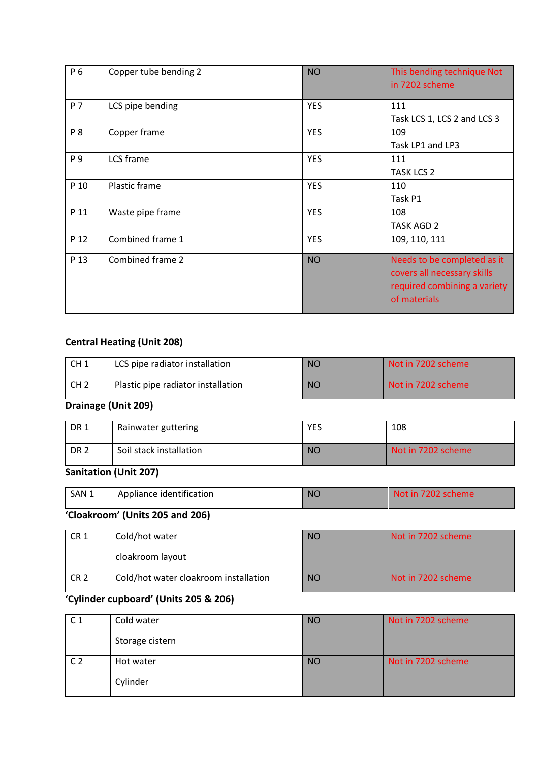| P 6  | Copper tube bending 2 | <b>NO</b>  | This bending technique Not<br>in 7202 scheme                                                               |
|------|-----------------------|------------|------------------------------------------------------------------------------------------------------------|
| P 7  | LCS pipe bending      | <b>YES</b> | 111<br>Task LCS 1, LCS 2 and LCS 3                                                                         |
| P 8  | Copper frame          | <b>YES</b> | 109<br>Task LP1 and LP3                                                                                    |
| P 9  | LCS frame             | <b>YES</b> | 111<br><b>TASK LCS 2</b>                                                                                   |
| P 10 | Plastic frame         | <b>YES</b> | 110<br>Task P1                                                                                             |
| P 11 | Waste pipe frame      | <b>YES</b> | 108<br><b>TASK AGD 2</b>                                                                                   |
| P 12 | Combined frame 1      | <b>YES</b> | 109, 110, 111                                                                                              |
| P 13 | Combined frame 2      | <b>NO</b>  | Needs to be completed as it<br>covers all necessary skills<br>required combining a variety<br>of materials |

### **Central Heating (Unit 208)**

| CH <sub>1</sub> | LCS pipe radiator installation     | <b>NO</b> | Not in 7202 scheme |
|-----------------|------------------------------------|-----------|--------------------|
| CH <sub>2</sub> | Plastic pipe radiator installation | <b>NO</b> | Not in 7202 scheme |

## **Drainage (Unit 209)**

| <b>DR1</b>      | Rainwater guttering     | YES       | 108                |
|-----------------|-------------------------|-----------|--------------------|
| DR <sub>2</sub> | Soil stack installation | <b>NO</b> | Not in 7202 scheme |

## **Sanitation (Unit 207)**

| SAN 1 | Appliance identification | <b>NC</b> | 72O2<br>N∩t in l<br>$\angle 02$ scheme $^{\circ}$ |  |
|-------|--------------------------|-----------|---------------------------------------------------|--|
|       |                          |           |                                                   |  |

### **'Cloakroom' (Units 205 and 206)**

| CR <sub>1</sub> | Cold/hot water                        | <b>NO</b> | Not in 7202 scheme |
|-----------------|---------------------------------------|-----------|--------------------|
|                 | cloakroom layout                      |           |                    |
| CR <sub>2</sub> | Cold/hot water cloakroom installation | <b>NO</b> | Not in 7202 scheme |

# **'Cylinder cupboard' (Units 205 & 206)**

| C 1            | Cold water      | <b>NO</b> | Not in 7202 scheme |
|----------------|-----------------|-----------|--------------------|
|                | Storage cistern |           |                    |
| C <sub>2</sub> | Hot water       | <b>NO</b> | Not in 7202 scheme |
|                | Cylinder        |           |                    |